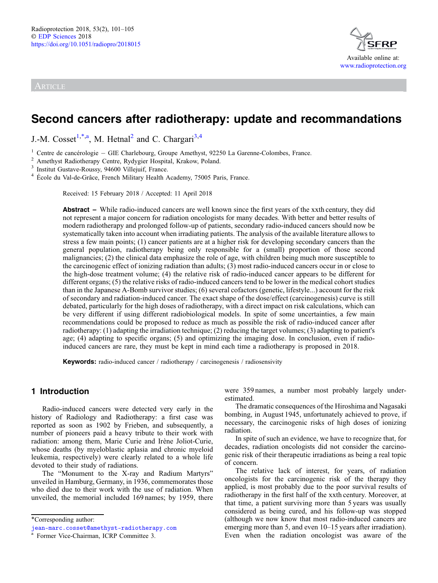ARTICLE



# Second cancers after radiotherapy: update and recommandations

J.-M. Cosset<sup>1,\*,a</sup>, M. Hetnal<sup>2</sup> and C. Chargari<sup>3,4</sup>

<sup>1</sup> Centre de cancérologie – GIE Charlebourg, Groupe Amethyst, 92250 La Garenne-Colombes, France.<br>
<sup>2</sup> Amethyst Radiotherapy Centre, Rydygier Hospital, Krakow, Poland.<br>
<sup>3</sup> Institut Gustave-Roussy, 94600 Villejuif, France

Received: 15 February 2018 / Accepted: 11 April 2018

Abstract – While radio-induced cancers are well known since the first years of the xxth century, they did not represent a major concern for radiation oncologists for many decades. With better and better results of modern radiotherapy and prolonged follow-up of patients, secondary radio-induced cancers should now be systematically taken into account when irradiating patients. The analysis of the available literature allows to stress a few main points; (1) cancer patients are at a higher risk for developing secondary cancers than the general population, radiotherapy being only responsible for a (small) proportion of those second malignancies; (2) the clinical data emphasize the role of age, with children being much more susceptible to the carcinogenic effect of ionizing radiation than adults; (3) most radio-induced cancers occur in or close to the high-dose treatment volume; (4) the relative risk of radio-induced cancer appears to be different for different organs; (5) the relative risks of radio-induced cancers tend to be lower in the medical cohort studies than in the Japanese A-Bomb survivor studies; (6) several cofactors (genetic, lifestyle...) account for the risk of secondary and radiation-induced cancer. The exact shape of the dose/effect (carcinogenesis) curve is still debated, particularly for the high doses of radiotherapy, with a direct impact on risk calculations, which can be very different if using different radiobiological models. In spite of some uncertainties, a few main recommendations could be proposed to reduce as much as possible the risk of radio-induced cancer after radiotherapy: (1) adapting the irradiation technique; (2) reducing the target volumes; (3) adapting to patient's age; (4) adapting to specific organs; (5) and optimizing the imaging dose. In conclusion, even if radioinduced cancers are rare, they must be kept in mind each time a radiotherapy is proposed in 2018.

Keywords: radio-induced cancer / radiotherapy / carcinogenesis / radiosensivity

# 1 Introduction

Radio-induced cancers were detected very early in the history of Radiology and Radiotherapy: a first case was reported as soon as 1902 by Frieben, and subsequently, a number of pioneers paid a heavy tribute to their work with radiation: among them, Marie Curie and Irène Joliot-Curie, whose deaths (by myeloblastic aplasia and chronic myeloid leukemia, respectively) were clearly related to a whole life devoted to their study of radiations.

The "Monument to the X-ray and Radium Martyrs" unveiled in Hamburg, Germany, in 1936, commemorates those who died due to their work with the use of radiation. When unveiled, the memorial included 169 names; by 1959, there were 359 names, a number most probably largely underestimated.

The dramatic consequences of the Hiroshima and Nagasaki bombing, in August 1945, unfortunately achieved to prove, if necessary, the carcinogenic risks of high doses of ionizing radiation.

In spite of such an evidence, we have to recognize that, for decades, radiation oncologists did not consider the carcinogenic risk of their therapeutic irradiations as being a real topic of concern.

The relative lack of interest, for years, of radiation oncologists for the carcinogenic risk of the therapy they applied, is most probably due to the poor survival results of radiotherapy in the first half of the xxth century. Moreover, at that time, a patient surviving more than 5 years was usually considered as being cured, and his follow-up was stopped (although we now know that most radio-induced cancers are emerging more than 5, and even 10–15 years after irradiation). Even when the radiation oncologist was aware of the

<sup>\*</sup>Corresponding author:

[jean-marc.cosset@amethyst-radiotherapy.com](mailto:jean-marc.cosset@amethyst-radiotherapy.com)

<sup>a</sup> Former Vice-Chairman, ICRP Committee 3.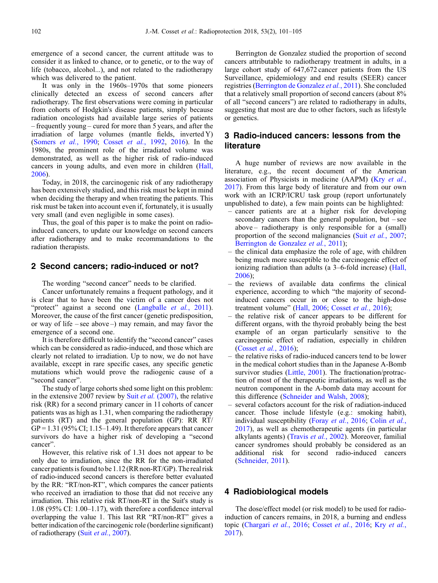emergence of a second cancer, the current attitude was to consider it as linked to chance, or to genetic, or to the way of life (tobacco, alcohol...), and not related to the radiotherapy which was delivered to the patient.

It was only in the 1960s–1970s that some pioneers clinically detected an excess of second cancers after radiotherapy. The first observations were coming in particular from cohorts of Hodgkin's disease patients, simply because radiation oncologists had available large series of patients – frequently young – cured for more than 5 years, and after the irradiation of large volumes (mantle fields, inverted Y) ([Somers](#page-4-0) et al., 1990; Cosset et al.[, 1992](#page-3-0), [2016](#page-4-0)). In the 1980s, the prominent role of the irradiated volume was demonstrated, as well as the higher risk of radio-induced cancers in young adults, and even more in children [\(Hall,](#page-4-0) [2006](#page-4-0)).

Today, in 2018, the carcinogenic risk of any radiotherapy has been extensively studied, and this risk must be kept in mind when deciding the therapy and when treating the patients. This risk must be taken into account even if, fortunately, it is usually very small (and even negligible in some cases).

Thus, the goal of this paper is to make the point on radioinduced cancers, to update our knowledge on second cancers after radiotherapy and to make recommandations to the radiation therapists.

# 2 Second cancers; radio-induced or not?

The wording "second cancer" needs to be clarified.

Cancer unfortunately remains a frequent pathology, and it is clear that to have been the victim of a cancer does not "protect" against a second one ([Langballe](#page-4-0) et al., 2011). Moreover, the cause of the first cancer (genetic predisposition, or way of life – see above –) may remain, and may favor the emergence of a second one.

It is therefore difficult to identify the "second cancer" cases which can be considered as radio-induced, and those which are clearly not related to irradiation. Up to now, we do not have available, except in rare specific cases, any specific genetic mutations which would prove the radiogenic cause of a "second cancer".

The study of large cohorts shed some light on this problem: in the extensive 2007 review by Suit et al. [\(2007\)](#page-4-0), the relative risk (RR) for a second primary cancer in 11 cohorts of cancer patients was as high as 1.31, when comparing the radiotherapy patients (RT) and the general population (GP): RR RT/  $GP = 1.31 (95\% CI; 1.15-1.49)$ . It therefore appears that cancer survivors do have a higher risk of developing a "second cancer".

However, this relative risk of 1.31 does not appear to be only due to irradiation, since the RR for the non-irradiated cancer patientsis foundto be 1.12 (RR non-RT/GP). The real risk of radio-induced second cancers is therefore better evaluated by the RR: "RT/non-RT", which compares the cancer patients who received an irradiation to those that did not receive any irradiation. This relative risk RT/non-RT in the Suit's study is 1.08 (95% CI: 1.00–1.17), with therefore a confidence interval overlapping the value 1. This last RR "RT/non-RT" gives a better indication of the carcinogenic role (borderline significant) of radiotherapy (Suit et al.[, 2007\)](#page-4-0).

Berrington de Gonzalez studied the proportion of second cancers attributable to radiotherapy treatment in adults, in a large cohort study of 647,672 cancer patients from the US Surveillance, epidemiology and end results (SEER) cancer registries [\(Berrington de Gonzalez](#page-3-0) et al., 2011). She concluded that a relatively small proportion of second cancers (about 8% of all "second cancers") are related to radiotherapy in adults, suggesting that most are due to other factors, such as lifestyle or genetics.

# 3 Radio-induced cancers: lessons from the literature

A huge number of reviews are now available in the literature, e.g., the recent document of the American association of Physicists in medicine (AAPM) (Kry [et al.](#page-4-0), [2017](#page-4-0)). From this large body of literature and from our own work with an ICRP/ICRU task group (report unfortunately unpublished to date), a few main points can be highlighted:

- cancer patients are at a higher risk for developing secondary cancers than the general population, but – see above – radiotherapy is only responsible for a (small) proportion of the second malignancies (Suit et al.[, 2007;](#page-4-0) [Berrington de Gonzalez](#page-3-0) et al., 2011);
- the clinical data emphasize the role of age, with children being much more susceptible to the carcinogenic effect of ionizing radiation than adults (a 3–6-fold increase) [\(Hall,](#page-4-0) [2006\)](#page-4-0);
- the reviews of available data confirms the clinical experience, according to which "the majority of secondinduced cancers occur in or close to the high-dose treatment volume" ([Hall, 2006;](#page-4-0) [Cosset](#page-4-0) et al., 2016);
- the relative risk of cancer appears to be different for different organs, with the thyroid probably being the best example of an organ particularly sensitive to the carcinogenic effect of radiation, especially in children [\(Cosset](#page-4-0) et al., 2016);
- the relative risks of radio-induced cancers tend to be lower in the medical cohort studies than in the Japanese A-Bomb survivor studies [\(Little, 2001](#page-4-0)). The fractionation/protraction of most of the therapeutic irradiations, as well as the neutron component in the A-bomb data may account for this difference ([Schneider and Walsh, 2008\)](#page-4-0);
- several cofactors account for the risk of radiation-induced cancer. Those include lifestyle (e.g.: smoking habit), individual susceptibility (Foray et al.[, 2016](#page-4-0); [Colin](#page-3-0) et al., [2017\)](#page-3-0), as well as chemotherapeutic agents (in particular alkylants agents) [\(Travis](#page-4-0) et al., 2002). Moreover, familial cancer syndromes should probably be considered as an additional risk for second radio-induced cancers [\(Schneider, 2011](#page-4-0)).

# 4 Radiobiological models

The dose/effect model (or risk model) to be used for radioinduction of cancers remains, in 2018, a burning and endless topic ([Chargari](#page-3-0) et al., 2016; [Cosset](#page-4-0) et al., 2016; Kry [et al.](#page-4-0), [2017](#page-4-0)).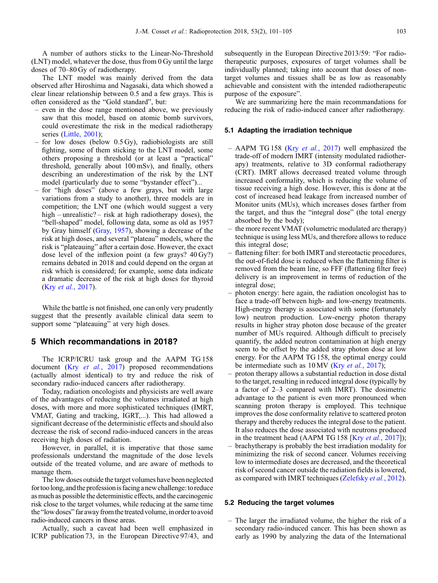A number of authors sticks to the Linear-No-Threshold (LNT) model, whatever the dose, thus from 0 Gy until the large doses of 70–80 Gy of radiotherapy.

The LNT model was mainly derived from the data observed after Hiroshima and Nagasaki, data which showed a clear linear relationship between 0.5 and a few grays. This is often considered as the "Gold standard", but:

- even in the dose range mentioned above, we previously saw that this model, based on atomic bomb survivors, could overestimate the risk in the medical radiotherapy series [\(Little, 2001\)](#page-4-0);
- for low doses (below 0.5 Gy), radiobiologists are still fighting, some of them sticking to the LNT model, some others proposing a threshold (or at least a "practical" threshold, generally about 100 mSv), and finally, others describing an underestimation of the risk by the LNT model (particularly due to some "bystander effect")...
- for "high doses" (above a few grays, but with large variations from a study to another), three models are in competition; the LNT one (which would suggest a very high – unrealistic? – risk at high radiotherapy doses), the "bell-shaped" model, following data, some as old as 1957 by Gray himself ([Gray, 1957\)](#page-4-0), showing a decrease of the risk at high doses, and several "plateau" models, where the risk is "plateauing" after a certain dose. However, the exact dose level of the inflexion point (a few grays? 40 Gy?) remains debated in 2018 and could depend on the organ at risk which is considered; for example, some data indicate a dramatic decrease of the risk at high doses for thyroid (Kry et al.[, 2017\)](#page-4-0).

While the battle is not finished, one can only very prudently suggest that the presently available clinical data seem to support some "plateauing" at very high doses.

# 5 Which recommandations in 2018?

The ICRP/ICRU task group and the AAPM TG 158 document (Kry et al.[, 2017](#page-4-0)) proposed recommendations (actually almost identical) to try and reduce the risk of secondary radio-induced cancers after radiotherapy.

Today, radiation oncologists and physicists are well aware of the advantages of reducing the volumes irradiated at high doses, with more and more sophisticated techniques (IMRT, VMAT, Gating and tracking, IGRT,...). This had allowed a significant decrease of the deterministic effects and should also decrease the risk of second radio-induced cancers in the areas receiving high doses of radiation.

However, in parallel, it is imperative that those same professionals understand the magnitude of the dose levels outside of the treated volume, and are aware of methods to manage them.

The low doses outside the target volumes have been neglected for too long, and the profession is facing a new challenge: to reduce as much as possible the deterministic effects, and the carcinogenic risk close to the target volumes, while reducing at the same time the "low doses" far away from the treated volume, in order to avoid radio-induced cancers in those areas.

Actually, such a caveat had been well emphasized in ICRP publication 73, in the European Directive 97/43, and subsequently in the European Directive 2013/59: "For radiotherapeutic purposes, exposures of target volumes shall be individually planned; taking into account that doses of nontarget volumes and tissues shall be as low as reasonably achievable and consistent with the intended radiotherapeutic purpose of the exposure".

We are summarizing here the main recommandations for reducing the risk of radio-induced cancer after radiotherapy.

### 5.1 Adapting the irradiation technique

- AAPM TG 158 (Kry et al.[, 2017\)](#page-4-0) well emphasized the trade-off of modern IMRT (intensity modulated radiotherapy) treatments, relative to 3D conformal radiotherapy (CRT). IMRT allows decreased treated volume through increased conformality, which is reducing the volume of tissue receiving a high dose. However, this is done at the cost of increased head leakage from increased number of Monitor units (MUs), which increases doses farther from the target, and thus the "integral dose" (the total energy absorbed by the body);
- the more recent VMAT (volumetric modulated arc therapy) technique is using less MUs, and therefore allows to reduce this integral dose;
- flattening filter: for both IMRT and stereotactic procedures, the out-of-field dose is reduced when the flattening filter is removed from the beam line, so FFF (flattening filter free) delivery is an improvement in terms of reduction of the integral dose;
- photon energy: here again, the radiation oncologist has to face a trade-off between high- and low-energy treatments. High-energy therapy is associated with some (fortunately low) neutron production. Low-energy photon therapy results in higher stray photon dose because of the greater number of MUs required. Although difficult to precisely quantify, the added neutron contamination at high energy seem to be offset by the added stray photon dose at low energy. For the AAPM TG 158, the optimal energy could be intermediate such as 10 MV (Kry et al.[, 2017\)](#page-4-0);
- proton therapy allows a substantial reduction in dose distal to the target, resulting in reduced integral dose (typically by a factor of 2–3 compared with IMRT). The dosimetric advantage to the patient is even more pronounced when scanning proton therapy is employed. This technique improves the dose conformality relative to scattered proton therapy and thereby reduces the integral dose to the patient. It also reduces the dose associated with neutrons produced in the treatment head (AAPM TG 158 [Kry et al.[, 2017](#page-4-0)]);
- brachytherapy is probably the best irradiation modality for minimizing the risk of second cancer. Volumes receiving low to intermediate doses are decreased, and the theoretical risk of second cancer outside the radiation fields is lowered, as compared with IMRT techniques ([Zelefsky](#page-4-0) et al., 2012).

#### 5.2 Reducing the target volumes

– The larger the irradiated volume, the higher the risk of a secondary radio-induced cancer. This has been shown as early as 1990 by analyzing the data of the International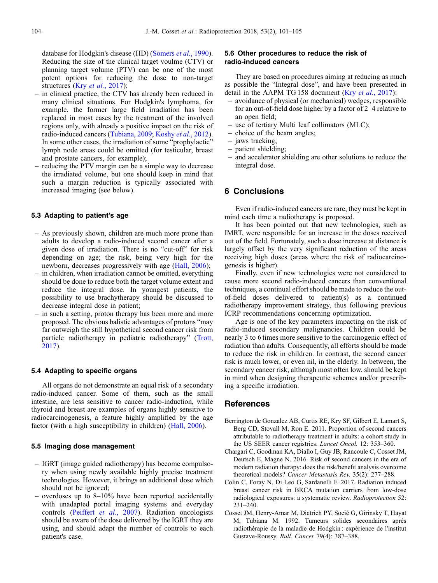<span id="page-3-0"></span>database for Hodgkin's disease (HD) ([Somers](#page-4-0) et al., 1990). Reducing the size of the clinical target voulme (CTV) or planning target volume (PTV) can be one of the most potent options for reducing the dose to non-target structures (Kry et al.[, 2017\)](#page-4-0);

- in clinical practice, the CTV has already been reduced in many clinical situations. For Hodgkin's lymphoma, for example, the former large field irradiation has been replaced in most cases by the treatment of the involved regions only, with already a positive impact on the risk of radio-induced cancers ([Tubiana, 2009;](#page-4-0) [Koshy](#page-4-0) et al., 2012). In some other cases, the irradiation of some "prophylactic" lymph node areas could be omitted (for testicular, breast and prostate cancers, for example);
- reducing the PTV margin can be a simple way to decrease the irradiated volume, but one should keep in mind that such a margin reduction is typically associated with increased imaging (see below).

# 5.3 Adapting to patient's age

- As previously shown, children are much more prone than adults to develop a radio-induced second cancer after a given dose of irradiation. There is no "cut-off" for risk depending on age; the risk, being very high for the newborn, decreases progressively with age ([Hall, 2006\)](#page-4-0);
- in children, when irradiation cannot be omitted, everything should be done to reduce both the target volume extent and reduce the integral dose. In youngest patients, the possibility to use brachytherapy should be discussed to decrease integral dose in patient;
- in such a setting, proton therapy has been more and more proposed. The obvious balistic advantages of protons "may far outweigh the still hypothetical second cancer risk from particle radiotherapy in pediatric radiotherapy" ([Trott,](#page-4-0) [2017\)](#page-4-0).

### 5.4 Adapting to specific organs

All organs do not demonstrate an equal risk of a secondary radio-induced cancer. Some of them, such as the small intestine, are less sensitive to cancer radio-induction, while thyroid and breast are examples of organs highly sensitive to radiocarcinogenesis, a feature highly amplified by the age factor (with a high susceptibility in children) [\(Hall, 2006](#page-4-0)).

### 5.5 Imaging dose management

- IGRT (image guided radiotherapy) has become compulsory when using newly available highly precise treatment technologies. However, it brings an additional dose which should not be ignored;
- overdoses up to 8–10% have been reported accidentally with unadapted portal imaging systems and everyday controls ([Peiffert](#page-4-0) et al., 2007). Radiation oncologists should be aware of the dose delivered by the IGRT they are using, and should adapt the number of controls to each patient's case.

# 5.6 Other procedures to reduce the risk of radio-induced cancers

They are based on procedures aiming at reducing as much as possible the "Integral dose", and have been presented in detail in the AAPM TG 158 document (Kry et al.[, 2017\)](#page-4-0):

- avoidance of physical (or mechanical) wedges, responsible for an out-of-field dose higher by a factor of 2–4 relative to an open field;
- use of tertiary Multi leaf collimators (MLC);
- choice of the beam angles;
- jaws tracking;
- patient shielding;
- and accelerator shielding are other solutions to reduce the integral dose.

# 6 Conclusions

Even if radio-induced cancers are rare, they must be kept in mind each time a radiotherapy is proposed.

It has been pointed out that new technologies, such as IMRT, were responsible for an increase in the doses received out of the field. Fortunately, such a dose increase at distance is largely offset by the very significant reduction of the areas receiving high doses (areas where the risk of radiocarcinogenesis is higher).

Finally, even if new technologies were not considered to cause more second radio-induced cancers than conventional techniques, a continual effort should be made to reduce the outof-field doses delivered to patient(s) as a continued radiotherapy improvement strategy, thus following previous ICRP recommendations concerning optimization.

Age is one of the key parameters impacting on the risk of radio-induced secondary malignancies. Children could be nearly 3 to 6 times more sensitive to the carcinogenic effect of radiation than adults. Consequently, all efforts should be made to reduce the risk in children. In contrast, the second cancer risk is much lower, or even nil, in the elderly. In between, the secondary cancer risk, although most often low, should be kept in mind when designing therapeutic schemes and/or prescribing a specific irradiation.

# References

- Berrington de Gonzalez AB, Curtis RE, Kry SF, Gilbert E, Lamart S, Berg CD, Stovall M, Ron E. 2011. Proportion of second cancers attributable to radiotherapy treatment in adults: a cohort study in the US SEER cancer registries. Lancet Oncol. 12: 353–360.
- Chargari C, Goodman KA, Diallo I, Guy JB, Rancoule C, Cosset JM, Deutsch E, Magne N. 2016. Risk of second cancers in the era of modern radiation therapy: does the risk/benefit analysis overcome theoretical models? Cancer Metastasis Rev. 35(2): 277–288.
- Colin C, Foray N, Di Leo G, Sardanelli F. 2017. Radiation induced breast cancer risk in BRCA mutation carriers from low-dose radiological exposures: a systematic review. Radioprotection 52: 231–240.
- Cosset JM, Henry-Amar M, Dietrich PY, Socié G, Girinsky T, Hayat M, Tubiana M. 1992. Tumeurs solides secondaires après radiothérapie de la maladie de Hodgkin : expérience de l'institut Gustave-Roussy. Bull. Cancer 79(4): 387–388.